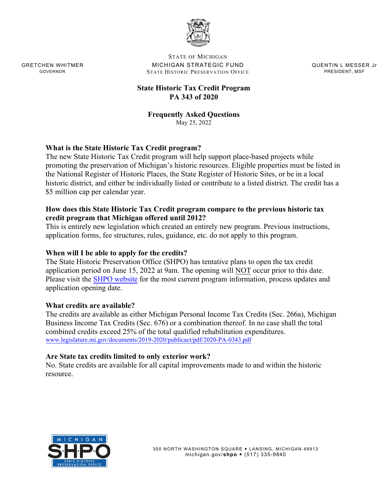

STATE OF MICHIGAN GRETCHEN WHITMER **MICHIGAN STRATEGIC FUND GRETCHEN WHITME MESSER Jr** GOVERNOR STATE HISTORIC PRESERVATION OFFICE **FRESIDENT, MSF** PRESIDENT, MSF

# **State Historic Tax Credit Program PA 343 of 2020**

#### **Frequently Asked Questions**  May 25, 2022

# **What is the State Historic Tax Credit program?**

The new State Historic Tax Credit program will help support place-based projects while promoting the preservation of Michigan's historic resources. Eligible properties must be listed in the National Register of Historic Places, the State Register of Historic Sites, or be in a local historic district, and either be individually listed or contribute to a listed district. The credit has a \$5 million cap per calendar year.

### **How does this State Historic Tax Credit program compare to the previous historic tax credit program that Michigan offered until 2012?**

This is entirely new legislation which created an entirely new program. Previous instructions, application forms, fee structures, rules, guidance, etc. do not apply to this program.

### **When will I be able to apply for the credits?**

The State Historic Preservation Office (SHPO) has tentative plans to open the tax credit application period on June 15, 2022 at 9am. The opening will NOT occur prior to this date. Please visit the [SHPO website](http://www.michigan.gov/hpcredit) for the most current program information, [process updates](http://www.legislature.mi.gov/(S(52aadvxwpcirkdecbv4vtxod))/documents/mcl/pdf/mcl-act-306-of-1969.pdf) and [application op](http://www.legislature.mi.gov/(S(52aadvxwpcirkdecbv4vtxod))/documents/mcl/pdf/mcl-act-306-of-1969.pdf)ening date.

#### **What credits are available?**

The credits are available as either Michigan Personal Income Tax Credits (Sec. 266a), Michigan Business Income Tax Credits (Sec. 676) or a combination thereof. In no case shall the total combined credits exceed 25% of the total qualified rehabilitation expenditures. www.legislature.mi.gov/documents/2019-2020/publicact/pdf/2020-PA-0343.pdf

#### **Are State tax credits limited to only exterior work?**

No. State credits are available for all capital improvements made to and within the historic resource.

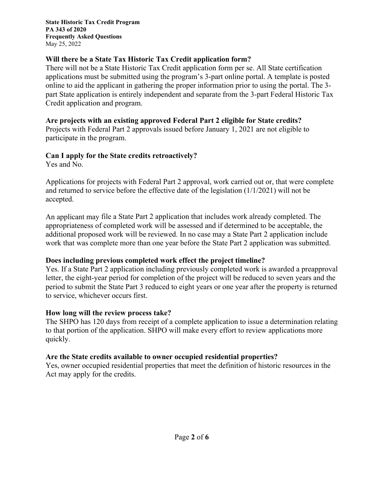**State Historic Tax Credit Program PA 343 of 2020 Frequently Asked Questions**  May 25, 2022

# **Will there be a State Tax Historic Tax Credit application form?**

There will not be a State Historic Tax Credit application form per se. All State certification applications must be submitted using the program's 3-part online portal. A template is posted online to aid the applicant in gathering the proper information prior to using the portal. The 3 part State application is entirely independent and separate from the 3-part Federal Historic Tax Credit application and program.

## **Are projects with an existing approved Federal Part 2 eligible for State credits?**

Projects with Federal Part 2 approvals issued before January 1, 2021 are not eligible to participate in the program.

# **Can I apply for the State credits retroactively?**

Yes and No.

Applications for projects with Federal Part 2 approval, work carried out or, that were complete and returned to service before the effective date of the legislation (1/1/2021) will not be accepted.

An applicant may file a State Part 2 application that includes work already completed. The appropriateness of completed work will be assessed and if determined to be acceptable, the additional proposed work will be reviewed. In no case may a State Part 2 application include work that was complete more than one year before the State Part 2 application was submitted.

## **Does including previous completed work effect the project timeline?**

Yes. If a State Part 2 application including previously completed work is awarded a preapproval letter, the eight-year period for completion of the project will be reduced to seven years and the period to submit the State Part 3 reduced to eight years or one year after the property is returned to service, whichever occurs first.

## **How long will the review process take?**

The SHPO has 120 days from receipt of a complete application to issue a determination relating to that portion of the application. SHPO will make every effort to review applications more quickly.

## **Are the State credits available to owner occupied residential properties?**

Yes, owner occupied residential properties that meet the definition of historic resources in the Act may apply for the credits.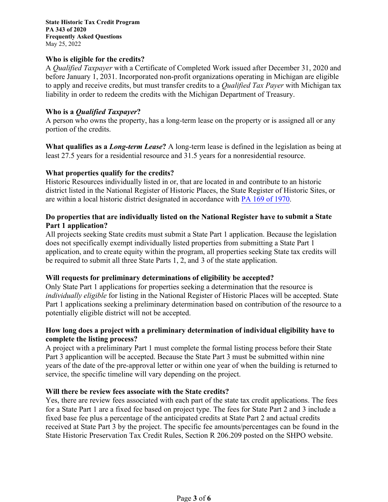**State Historic Tax Credit Program PA 343 of 2020 Frequently Asked Questions**  May 25, 2022

#### **Who is eligible for the credits?**

A *Qualified Taxpayer* with a Certificate of Completed Work issued after December 31, 2020 and before January 1, 2031. Incorporated non-profit organizations operating in Michigan are eligible to apply and receive credits, but must transfer credits to a *Qualified Tax Payer* with Michigan tax liability in order to redeem the credits with the Michigan Department of Treasury.

#### **Who is a** *Qualified Taxpayer***?**

A person who owns the property, has a long-term lease on the property or is assigned all or any portion of the credits.

**What qualifies as a** *Long-term Lease***?** A long-term lease is defined in the legislation as being at least 27.5 years for a residential resource and 31.5 years for a nonresidential resource.

#### **What properties qualify for the credits?**

Historic Resources individually listed in or, that are located in and contribute to an historic district listed in the National Register of Historic Places, the State Register of Historic Sites, or are within a local historic district designated in accordance with [PA 169 of 1970.](http://www.legislature.mi.gov/(S(52aadvxwpcirkdecbv4vtxod))/documents/mcl/pdf/mcl-act-169-of-1970.pdf)

#### **Do properties that are individually listed on the National Register have to submit a State Part 1 application?**

All projects seeking State credits must submit a State Part 1 application. Because the legislation does not specifically exempt individually listed properties from submitting a State Part 1 application, and to create equity within the program, all properties seeking State tax credits will be required to submit all three State Parts 1, 2, and 3 of the state application.

#### **Will requests for preliminary determinations of eligibility be accepted?**

Only State Part 1 applications for properties seeking a determination that the resource is *individually eligible* for listing in the National Register of Historic Places will be accepted. State Part 1 applications seeking a preliminary determination based on contribution of the resource to a potentially eligible district will not be accepted.

### **How long does a project with a preliminary determination of individual eligibility have to complete the listing process?**

A project with a preliminary Part 1 must complete the formal listing process before their State Part 3 applicantion will be accepted. Because the State Part 3 must be submitted within nine years of the date of the pre-approval letter or within one year of when the building is returned to service, the specific timeline will vary depending on the project.

#### **Will there be review fees associate with the State credits?**

Yes, there are review fees associated with each part of the state tax credit applications. The fees for a State Part 1 are a fixed fee based on project type. The fees for State Part 2 and 3 include a fixed base fee plus a percentage of the anticipated credits at State Part 2 and actual credits received at State Part 3 by the project. The specific fee amounts/percentages can be found in the State Historic Preservation Tax Credit Rules, Section R 206.209 posted on the SHPO website.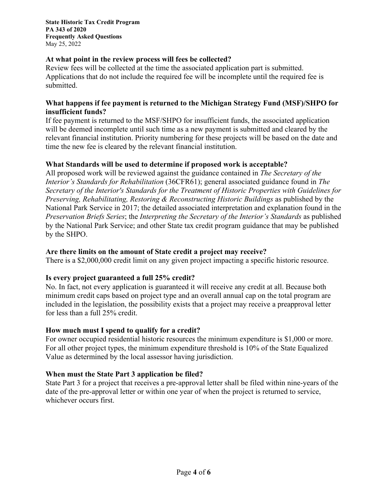## **At what point in the review process will fees be collected?**

Review fees will be collected at the time the associated application part is submitted. Applications that do not include the required fee will be incomplete until the required fee is submitted.

### **What happens if fee payment is returned to the Michigan Strategy Fund (MSF)/SHPO for insufficient funds?**

If fee payment is returned to the MSF/SHPO for insufficient funds, the associated application will be deemed incomplete until such time as a new payment is submitted and cleared by the relevant financial institution. Priority numbering for these projects will be based on the date and time the new fee is cleared by the relevant financial institution.

# **What Standards will be used to determine if proposed work is acceptable?**

All proposed work will be reviewed against the guidance contained in *The Secretary of the Interior's Standards for Rehabilitation* (36CFR61); general associated guidance found in *The Secretary of the Interior's Standards for the Treatment of Historic Properties with Guidelines for Preserving, Rehabilitating, Restoring & Reconstructing Historic Buildings* as published by the National Park Service in 2017; the detailed associated interpretation and explanation found in the *Preservation Briefs Series*; the *Interpreting the Secretary of the Interior's Standards* as published by the National Park Service; and other State tax credit program guidance that may be published by the SHPO.

### **Are there limits on the amount of State credit a project may receive?**

There is a \$2,000,000 credit limit on any given project impacting a specific historic resource.

## **Is every project guaranteed a full 25% credit?**

No. In fact, not every application is guaranteed it will receive any credit at all. Because both minimum credit caps based on project type and an overall annual cap on the total program are included in the legislation, the possibility exists that a project may receive a preapproval letter for less than a full 25% credit.

## **How much must I spend to qualify for a credit?**

For owner occupied residential historic resources the minimum expenditure is \$1,000 or more. For all other project types, the minimum expenditure threshold is 10% of the State Equalized Value as determined by the local assessor having jurisdiction.

## **When must the State Part 3 application be filed?**

State Part 3 for a project that receives a pre-approval letter shall be filed within nine-years of the date of the pre-approval letter or within one year of when the project is returned to service, whichever occurs first.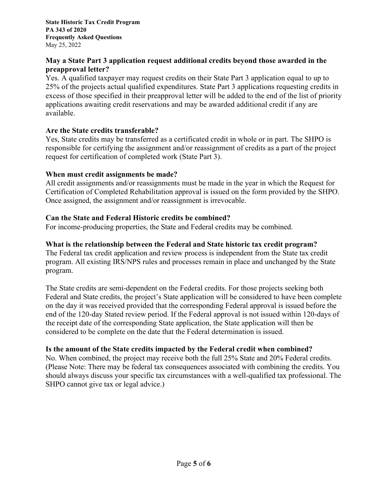**State Historic Tax Credit Program PA 343 of 2020 Frequently Asked Questions**  May 25, 2022

## **May a State Part 3 application request additional credits beyond those awarded in the preapproval letter?**

Yes. A qualified taxpayer may request credits on their State Part 3 application equal to up to 25% of the projects actual qualified expenditures. State Part 3 applications requesting credits in excess of those specified in their preapproval letter will be added to the end of the list of priority applications awaiting credit reservations and may be awarded additional credit if any are available.

## **Are the State credits transferable?**

Yes, State credits may be transferred as a certificated credit in whole or in part. The SHPO is responsible for certifying the assignment and/or reassignment of credits as a part of the project request for certification of completed work (State Part 3).

### **When must credit assignments be made?**

All credit assignments and/or reassignments must be made in the year in which the Request for Certification of Completed Rehabilitation approval is issued on the form provided by the SHPO. Once assigned, the assignment and/or reassignment is irrevocable.

## **Can the State and Federal Historic credits be combined?**

For income-producing properties, the State and Federal credits may be combined.

### **What is the relationship between the Federal and State historic tax credit program?**

The Federal tax credit application and review process is independent from the State tax credit program. All existing IRS/NPS rules and processes remain in place and unchanged by the State program.

The State credits are semi-dependent on the Federal credits. For those projects seeking both Federal and State credits, the project's State application will be considered to have been complete on the day it was received provided that the corresponding Federal approval is issued before the end of the 120-day Stated review period. If the Federal approval is not issued within 120-days of the receipt date of the corresponding State application, the State application will then be considered to be complete on the date that the Federal determination is issued.

## **Is the amount of the State credits impacted by the Federal credit when combined?**

No. When combined, the project may receive both the full 25% State and 20% Federal credits. (Please Note: There may be federal tax consequences associated with combining the credits. You should always discuss your specific tax circumstances with a well-qualified tax professional. The SHPO cannot give tax or legal advice.)